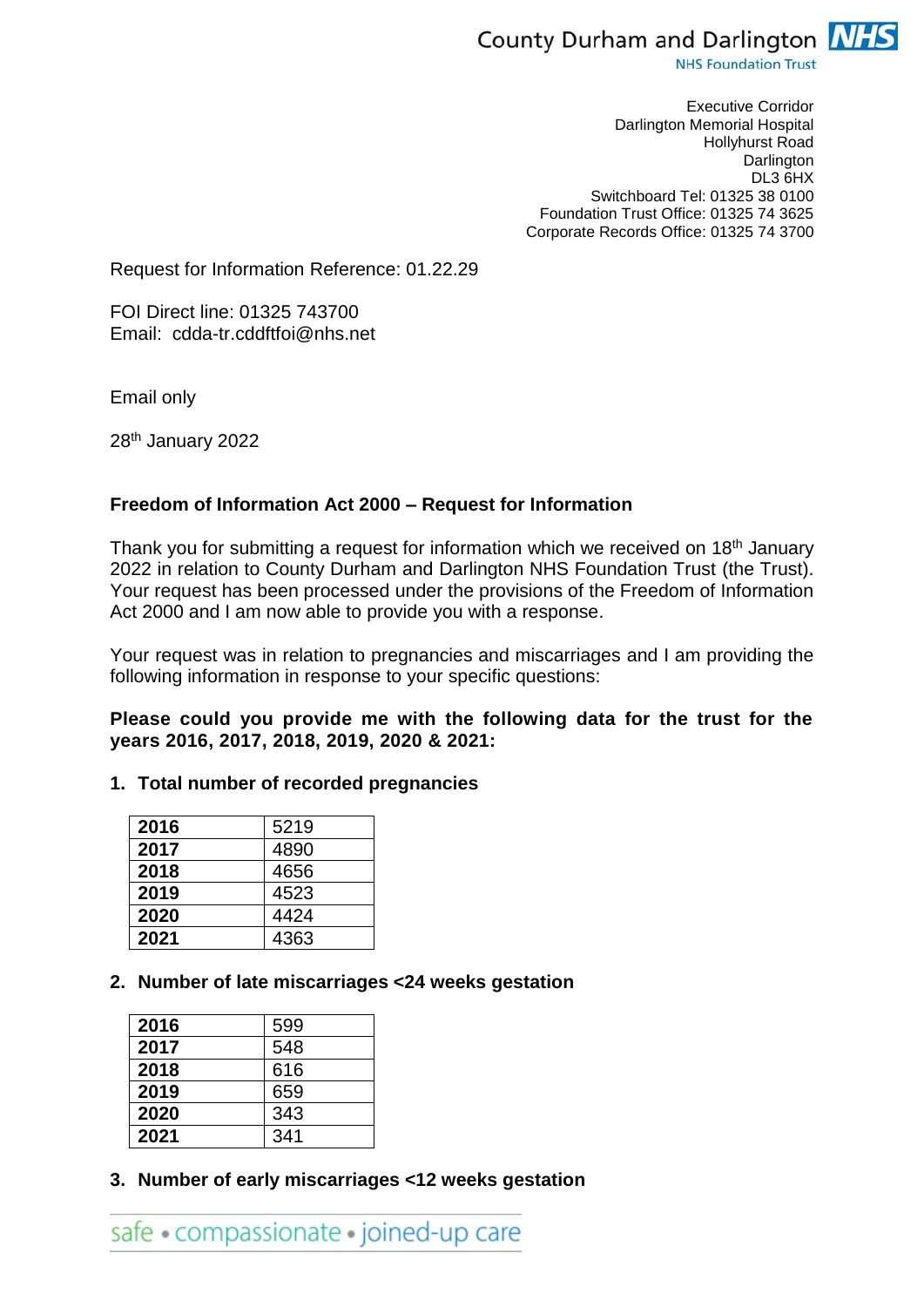

**NHS Foundation Trust** 

Executive Corridor Darlington Memorial Hospital Hollyhurst Road **Darlington** DL3 6HX Switchboard Tel: 01325 38 0100 Foundation Trust Office: 01325 74 3625 Corporate Records Office: 01325 74 3700

Request for Information Reference: 01.22.29

FOI Direct line: 01325 743700 Email: cdda-tr.cddftfoi@nhs.net

Email only

28th January 2022

# **Freedom of Information Act 2000 – Request for Information**

Thank you for submitting a request for information which we received on 18<sup>th</sup> January 2022 in relation to County Durham and Darlington NHS Foundation Trust (the Trust). Your request has been processed under the provisions of the Freedom of Information Act 2000 and I am now able to provide you with a response.

Your request was in relation to pregnancies and miscarriages and I am providing the following information in response to your specific questions:

**Please could you provide me with the following data for the trust for the years 2016, 2017, 2018, 2019, 2020 & 2021:**

#### **1. Total number of recorded pregnancies**

| 2016 | 5219 |
|------|------|
| 2017 | 4890 |
| 2018 | 4656 |
| 2019 | 4523 |
| 2020 | 4424 |
| 2021 | 4363 |

### **2. Number of late miscarriages <24 weeks gestation**

| 2016 | 599 |
|------|-----|
| 2017 | 548 |
| 2018 | 616 |
| 2019 | 659 |
| 2020 | 343 |
| 2021 | 341 |

**3. Number of early miscarriages <12 weeks gestation**

safe • compassionate • joined-up care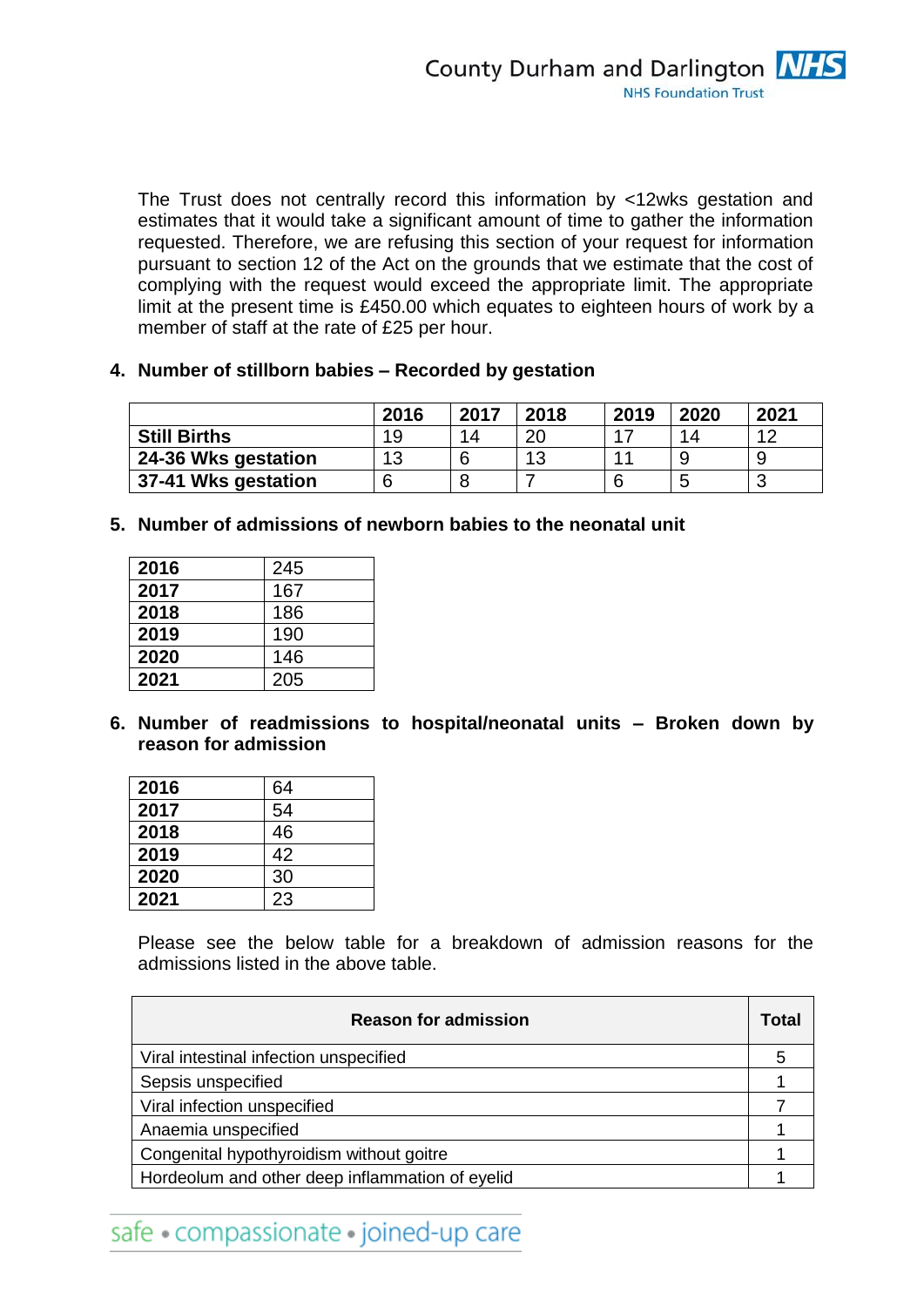The Trust does not centrally record this information by <12wks gestation and estimates that it would take a significant amount of time to gather the information requested. Therefore, we are refusing this section of your request for information pursuant to section 12 of the Act on the grounds that we estimate that the cost of complying with the request would exceed the appropriate limit. The appropriate limit at the present time is £450.00 which equates to eighteen hours of work by a member of staff at the rate of £25 per hour.

**4. Number of stillborn babies – Recorded by gestation**

|                     | 2016 | 2017 | 2018 | 2019 | 2020 | 2021      |
|---------------------|------|------|------|------|------|-----------|
| <b>Still Births</b> | 19   | 14   | 20   |      | 14   | $\Lambda$ |
| 24-36 Wks gestation | 12   |      | 13   | 44   |      |           |
| 37-41 Wks gestation | 6    | 8    |      |      | ∽    | w         |

**5. Number of admissions of newborn babies to the neonatal unit**

| 2016 | 245 |
|------|-----|
| 2017 | 167 |
| 2018 | 186 |
| 2019 | 190 |
| 2020 | 146 |
| 2021 | 205 |

**6. Number of readmissions to hospital/neonatal units – Broken down by reason for admission**

| 2016 | 64 |
|------|----|
| 2017 | 54 |
| 2018 | 46 |
| 2019 | 42 |
| 2020 | 30 |
| 2021 | 23 |

Please see the below table for a breakdown of admission reasons for the admissions listed in the above table.

| <b>Reason for admission</b>                     | Total |
|-------------------------------------------------|-------|
| Viral intestinal infection unspecified          |       |
| Sepsis unspecified                              |       |
| Viral infection unspecified                     |       |
| Anaemia unspecified                             |       |
| Congenital hypothyroidism without goitre        |       |
| Hordeolum and other deep inflammation of eyelid |       |

safe · compassionate · joined-up care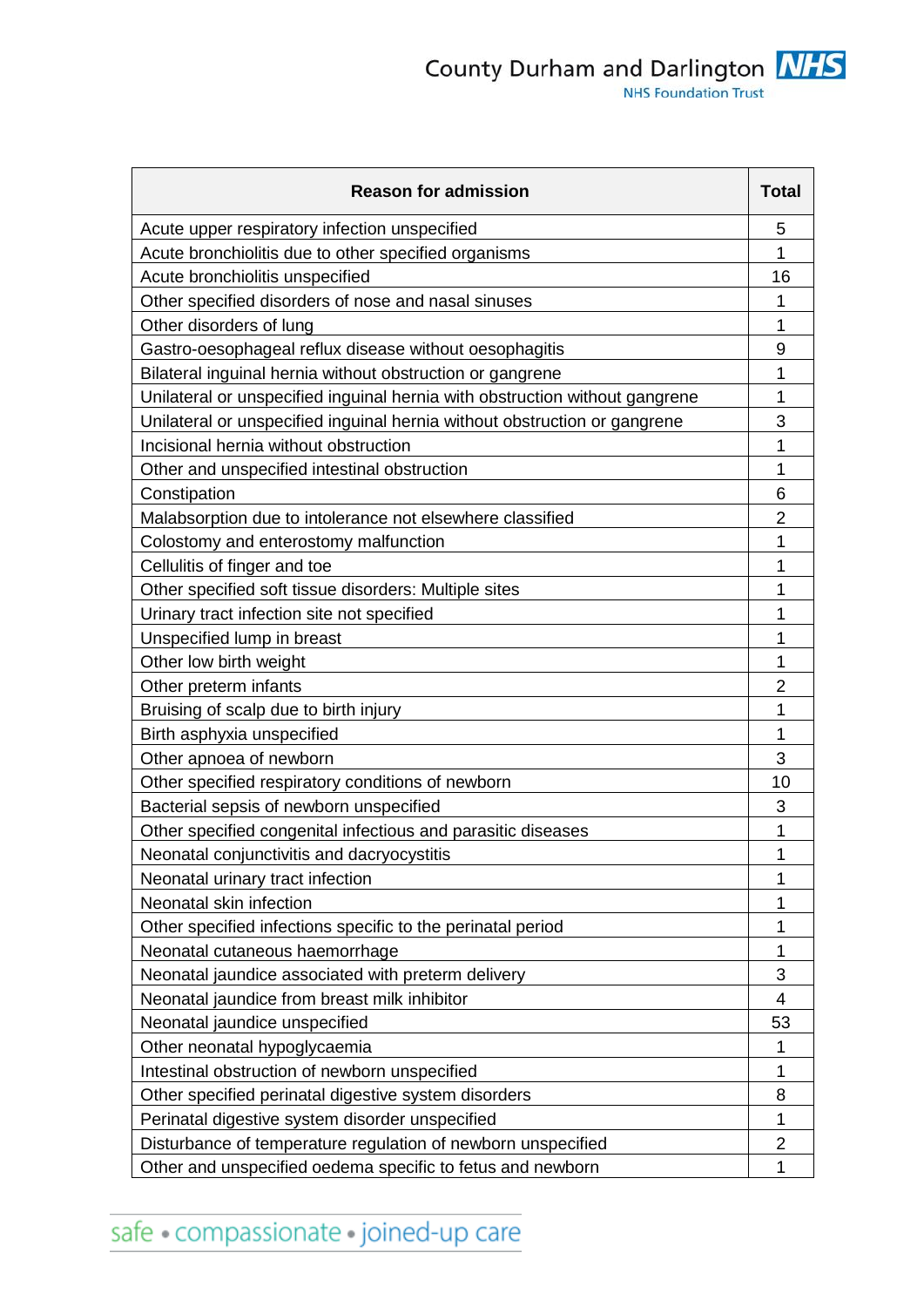County Durham and Darlington **NHS**<br>NHS Foundation Trust

| <b>Reason for admission</b>                                                 | <b>Total</b>   |
|-----------------------------------------------------------------------------|----------------|
| Acute upper respiratory infection unspecified                               | 5              |
| Acute bronchiolitis due to other specified organisms                        | 1              |
| Acute bronchiolitis unspecified                                             | 16             |
| Other specified disorders of nose and nasal sinuses                         | 1              |
| Other disorders of lung                                                     | 1              |
| Gastro-oesophageal reflux disease without oesophagitis                      | 9              |
| Bilateral inguinal hernia without obstruction or gangrene                   | 1              |
| Unilateral or unspecified inguinal hernia with obstruction without gangrene | 1              |
| Unilateral or unspecified inguinal hernia without obstruction or gangrene   | 3              |
| Incisional hernia without obstruction                                       |                |
| Other and unspecified intestinal obstruction                                | 1              |
| Constipation                                                                | 6              |
| Malabsorption due to intolerance not elsewhere classified                   | $\overline{2}$ |
| Colostomy and enterostomy malfunction                                       | 1              |
| Cellulitis of finger and toe                                                | 1              |
| Other specified soft tissue disorders: Multiple sites                       | 1              |
| Urinary tract infection site not specified                                  | 1              |
| Unspecified lump in breast                                                  | 1              |
| Other low birth weight                                                      | 1              |
| Other preterm infants                                                       | 2              |
| Bruising of scalp due to birth injury                                       | 1              |
| Birth asphyxia unspecified                                                  | 1              |
| Other apnoea of newborn                                                     | 3              |
| Other specified respiratory conditions of newborn                           | 10             |
| Bacterial sepsis of newborn unspecified                                     | 3              |
| Other specified congenital infectious and parasitic diseases                | 1              |
| Neonatal conjunctivitis and dacryocystitis                                  | 1              |
| Neonatal urinary tract infection                                            | 1              |
| Neonatal skin infection                                                     | 1              |
| Other specified infections specific to the perinatal period                 | 1              |
| Neonatal cutaneous haemorrhage                                              | 1              |
| Neonatal jaundice associated with preterm delivery                          | 3              |
| Neonatal jaundice from breast milk inhibitor                                | 4              |
| Neonatal jaundice unspecified                                               | 53             |
| Other neonatal hypoglycaemia                                                | 1              |
| Intestinal obstruction of newborn unspecified                               | 1              |
| Other specified perinatal digestive system disorders                        | 8              |
| Perinatal digestive system disorder unspecified                             | 1              |
| Disturbance of temperature regulation of newborn unspecified                | $\overline{2}$ |
| Other and unspecified oedema specific to fetus and newborn                  | 1              |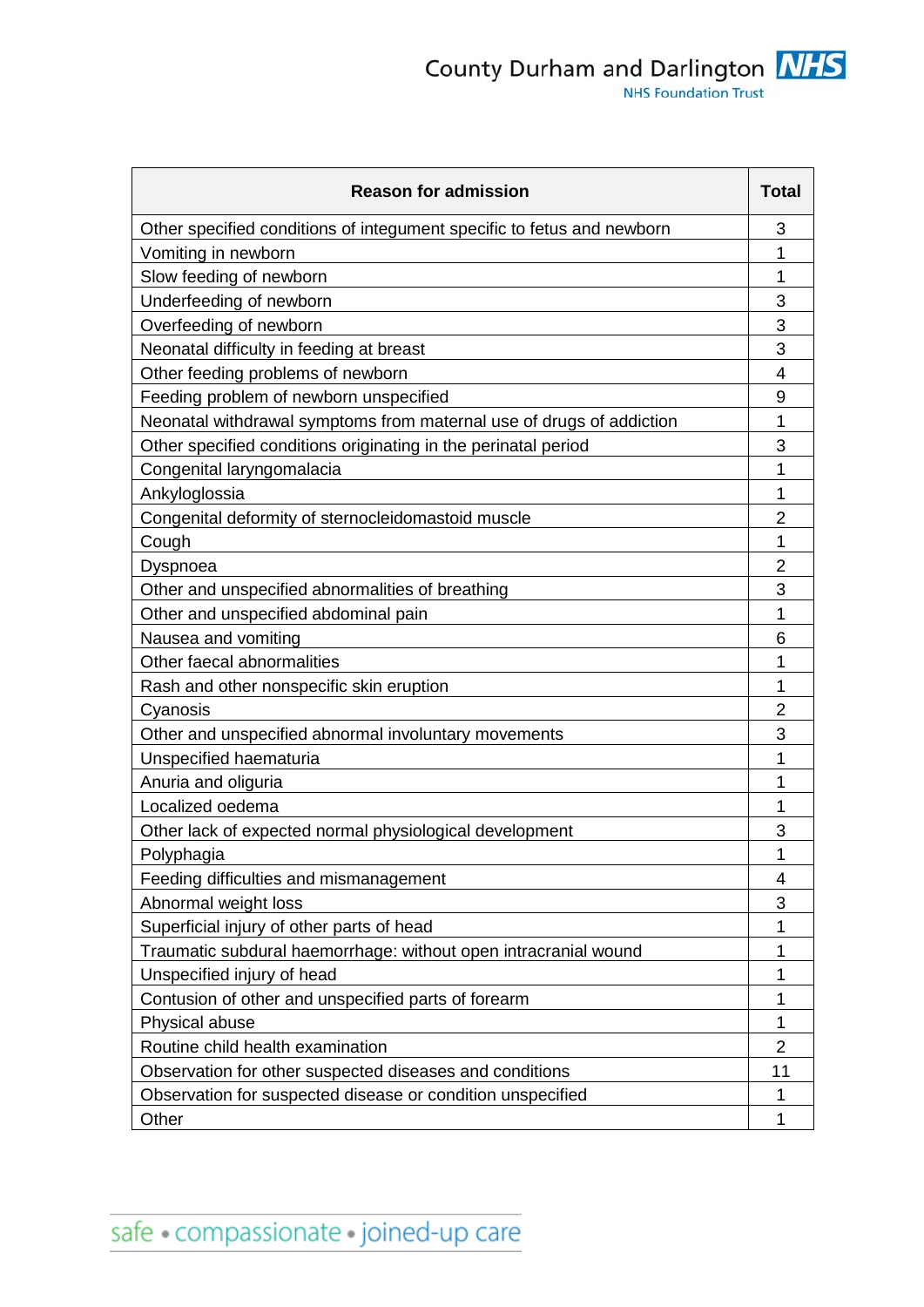| <b>Reason for admission</b>                                            | <b>Total</b>   |
|------------------------------------------------------------------------|----------------|
| Other specified conditions of integument specific to fetus and newborn | 3              |
| Vomiting in newborn                                                    | 1              |
| Slow feeding of newborn                                                | 1              |
| Underfeeding of newborn                                                | 3              |
| Overfeeding of newborn                                                 | 3              |
| Neonatal difficulty in feeding at breast                               | 3              |
| Other feeding problems of newborn                                      | 4              |
| Feeding problem of newborn unspecified                                 | 9              |
| Neonatal withdrawal symptoms from maternal use of drugs of addiction   | 1              |
| Other specified conditions originating in the perinatal period         | 3              |
| Congenital laryngomalacia                                              | 1              |
| Ankyloglossia                                                          | 1              |
| Congenital deformity of sternocleidomastoid muscle                     | $\overline{2}$ |
| Cough                                                                  | 1              |
| Dyspnoea                                                               | 2              |
| Other and unspecified abnormalities of breathing                       | 3              |
| Other and unspecified abdominal pain                                   | 1              |
| Nausea and vomiting                                                    | 6              |
| Other faecal abnormalities                                             | 1              |
| Rash and other nonspecific skin eruption                               | 1              |
| Cyanosis                                                               | 2              |
| Other and unspecified abnormal involuntary movements                   | 3              |
| Unspecified haematuria                                                 | 1              |
| Anuria and oliguria                                                    | 1              |
| Localized oedema                                                       | 1              |
| Other lack of expected normal physiological development                | 3              |
| Polyphagia                                                             | 1              |
| Feeding difficulties and mismanagement                                 | 4              |
| Abnormal weight loss                                                   | 3              |
| Superficial injury of other parts of head                              | 1              |
| Traumatic subdural haemorrhage: without open intracranial wound        | 1              |
| Unspecified injury of head                                             | 1              |
| Contusion of other and unspecified parts of forearm                    | 1              |
| Physical abuse                                                         | 1              |
| Routine child health examination                                       | $\overline{2}$ |
| Observation for other suspected diseases and conditions                | 11             |
| Observation for suspected disease or condition unspecified             | 1              |
| Other                                                                  | 1              |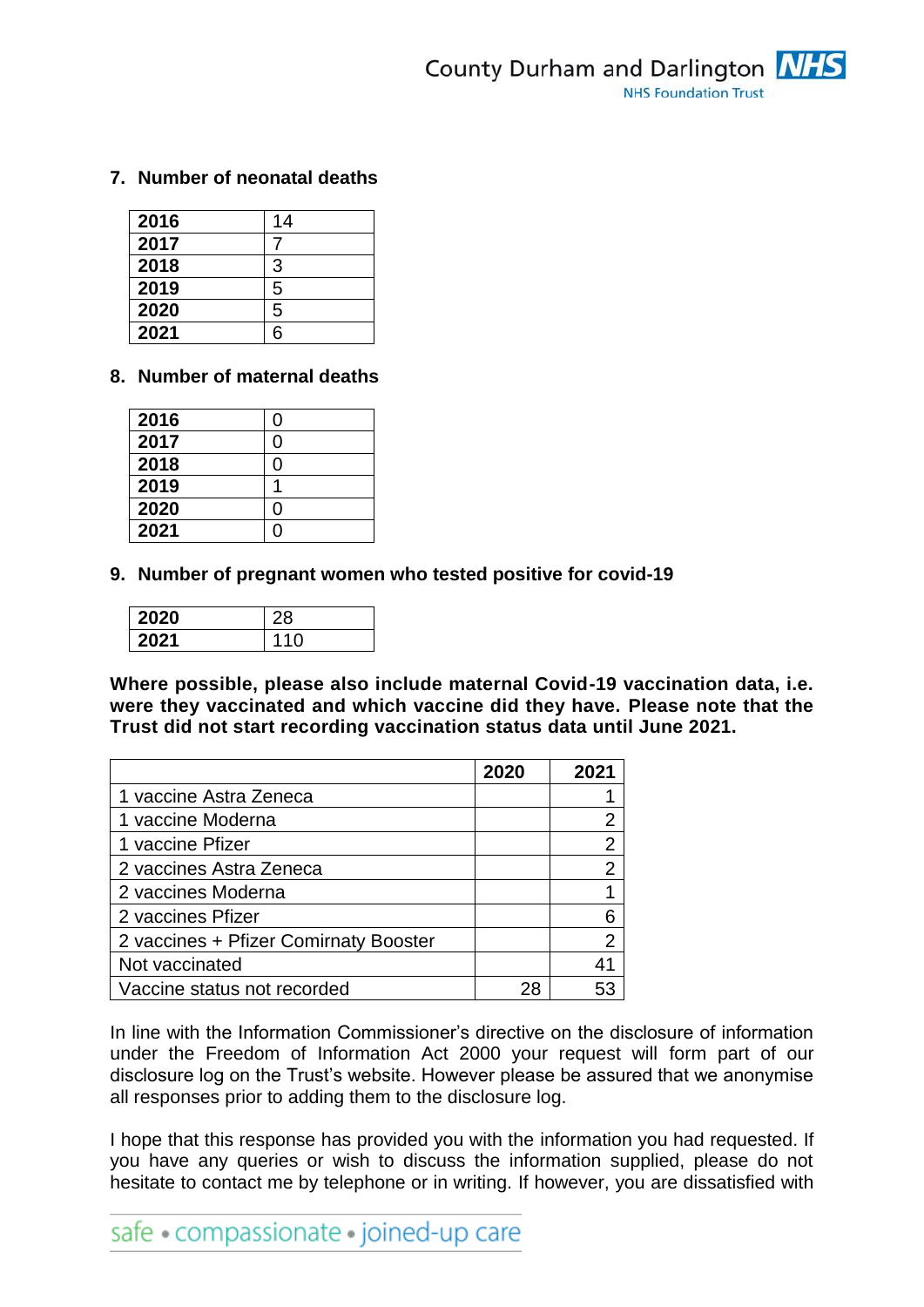# **7. Number of neonatal deaths**

| 2016 | 14 |
|------|----|
| 2017 |    |
| 2018 | 3  |
| 2019 | 5  |
| 2020 | 5  |
| 2021 | 6  |

# **8. Number of maternal deaths**

| 2016 | ი |
|------|---|
| 2017 | ი |
| 2018 | Ⴖ |
| 2019 |   |
| 2020 | ი |
| 2021 |   |

**9. Number of pregnant women who tested positive for covid-19**

| 2020 | Ο<br>Ö      |
|------|-------------|
|      | 4<br>◠<br>4 |

**Where possible, please also include maternal Covid-19 vaccination data, i.e. were they vaccinated and which vaccine did they have. Please note that the Trust did not start recording vaccination status data until June 2021.**

|                                       | 2020 | 2021           |
|---------------------------------------|------|----------------|
| 1 vaccine Astra Zeneca                |      |                |
| 1 vaccine Moderna                     |      | 2              |
| 1 vaccine Pfizer                      |      | $\overline{2}$ |
| 2 vaccines Astra Zeneca               |      | $\overline{2}$ |
| 2 vaccines Moderna                    |      |                |
| 2 vaccines Pfizer                     |      | 6              |
| 2 vaccines + Pfizer Comirnaty Booster |      | $\overline{2}$ |
| Not vaccinated                        |      | 41             |
| Vaccine status not recorded           |      |                |

In line with the Information Commissioner's directive on the disclosure of information under the Freedom of Information Act 2000 your request will form part of our disclosure log on the Trust's website. However please be assured that we anonymise all responses prior to adding them to the disclosure log.

I hope that this response has provided you with the information you had requested. If you have any queries or wish to discuss the information supplied, please do not hesitate to contact me by telephone or in writing. If however, you are dissatisfied with

safe · compassionate · joined-up care